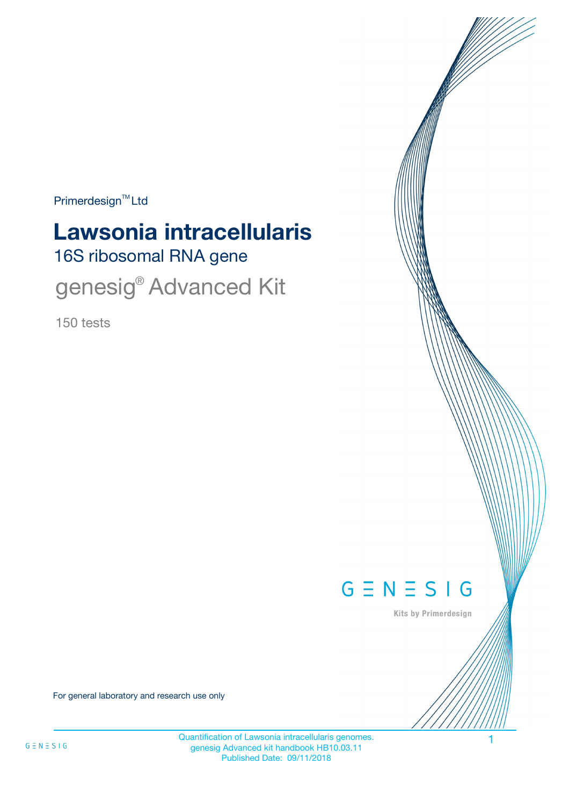Primerdesign<sup>™</sup>Ltd

# 16S ribosomal RNA gene **Lawsonia intracellularis**

genesig<sup>®</sup> Advanced Kit

150 tests



Kits by Primerdesign

For general laboratory and research use only

Quantification of Lawsonia intracellularis genomes. 1 genesig Advanced kit handbook HB10.03.11 Published Date: 09/11/2018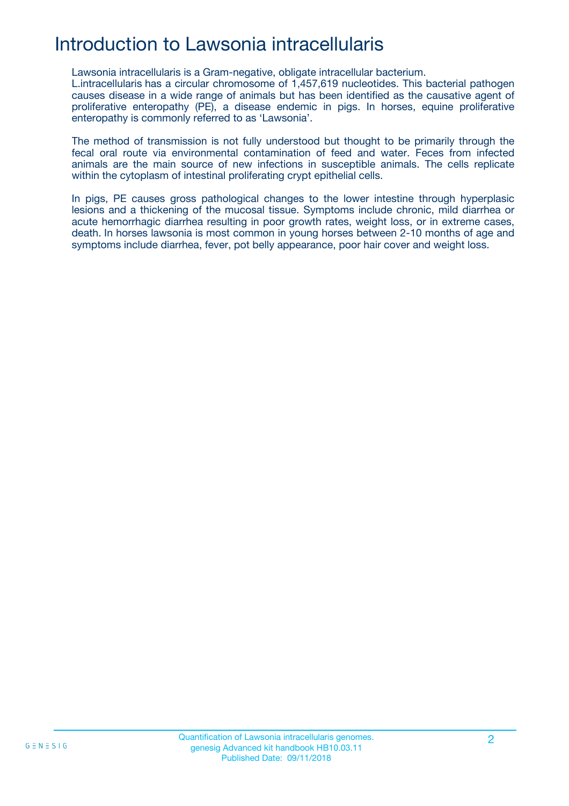## Introduction to Lawsonia intracellularis

Lawsonia intracellularis is a Gram-negative, obligate intracellular bacterium.

L.intracellularis has a circular chromosome of 1,457,619 nucleotides. This bacterial pathogen causes disease in a wide range of animals but has been identified as the causative agent of proliferative enteropathy (PE), a disease endemic in pigs. In horses, equine proliferative enteropathy is commonly referred to as 'Lawsonia'.

The method of transmission is not fully understood but thought to be primarily through the fecal oral route via environmental contamination of feed and water. Feces from infected animals are the main source of new infections in susceptible animals. The cells replicate within the cytoplasm of intestinal proliferating crypt epithelial cells.

In pigs, PE causes gross pathological changes to the lower intestine through hyperplasic lesions and a thickening of the mucosal tissue. Symptoms include chronic, mild diarrhea or acute hemorrhagic diarrhea resulting in poor growth rates, weight loss, or in extreme cases, death. In horses lawsonia is most common in young horses between 2-10 months of age and symptoms include diarrhea, fever, pot belly appearance, poor hair cover and weight loss.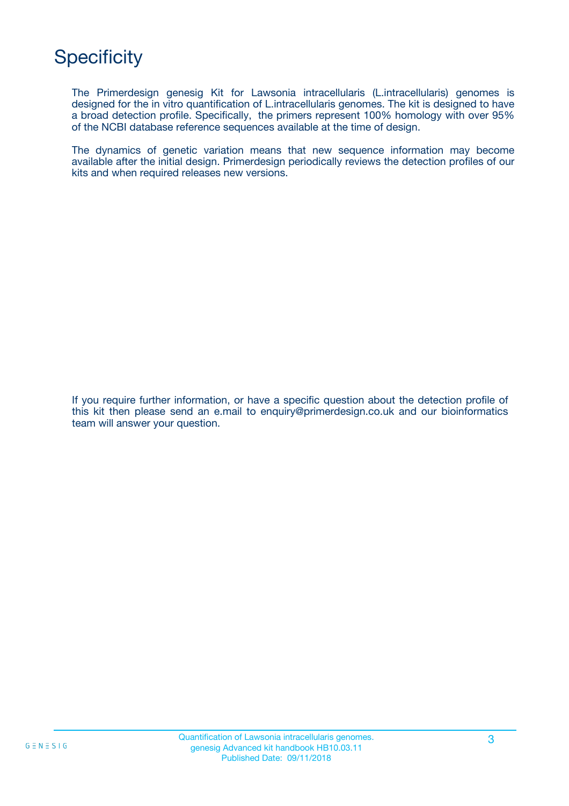## **Specificity**

The Primerdesign genesig Kit for Lawsonia intracellularis (L.intracellularis) genomes is designed for the in vitro quantification of L.intracellularis genomes. The kit is designed to have a broad detection profile. Specifically, the primers represent 100% homology with over 95% of the NCBI database reference sequences available at the time of design.

The dynamics of genetic variation means that new sequence information may become available after the initial design. Primerdesign periodically reviews the detection profiles of our kits and when required releases new versions.

If you require further information, or have a specific question about the detection profile of this kit then please send an e.mail to enquiry@primerdesign.co.uk and our bioinformatics team will answer your question.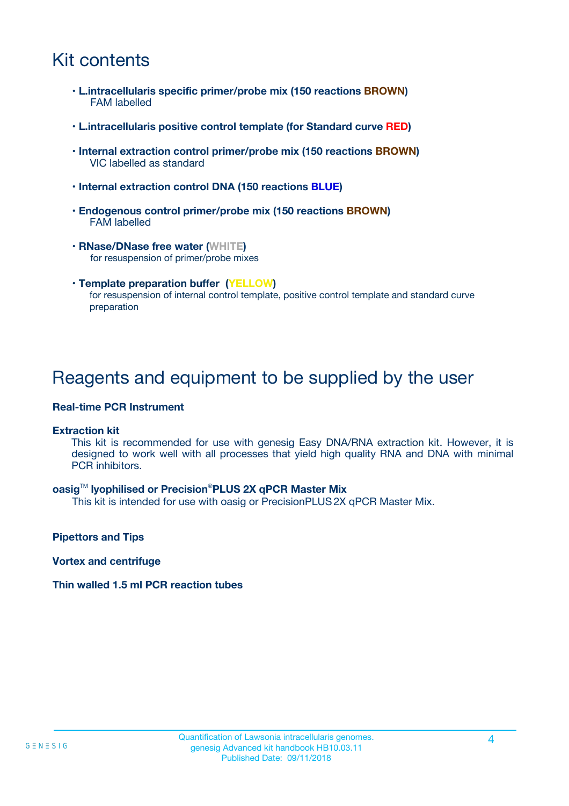## Kit contents

- **L.intracellularis specific primer/probe mix (150 reactions BROWN)** FAM labelled
- **L.intracellularis positive control template (for Standard curve RED)**
- **Internal extraction control primer/probe mix (150 reactions BROWN)** VIC labelled as standard
- **Internal extraction control DNA (150 reactions BLUE)**
- **Endogenous control primer/probe mix (150 reactions BROWN)** FAM labelled
- **RNase/DNase free water (WHITE)** for resuspension of primer/probe mixes
- **Template preparation buffer (YELLOW)** for resuspension of internal control template, positive control template and standard curve preparation

### Reagents and equipment to be supplied by the user

#### **Real-time PCR Instrument**

#### **Extraction kit**

This kit is recommended for use with genesig Easy DNA/RNA extraction kit. However, it is designed to work well with all processes that yield high quality RNA and DNA with minimal PCR inhibitors.

#### **oasig**TM **lyophilised or Precision**®**PLUS 2X qPCR Master Mix**

This kit is intended for use with oasig or PrecisionPLUS2X qPCR Master Mix.

**Pipettors and Tips**

**Vortex and centrifuge**

#### **Thin walled 1.5 ml PCR reaction tubes**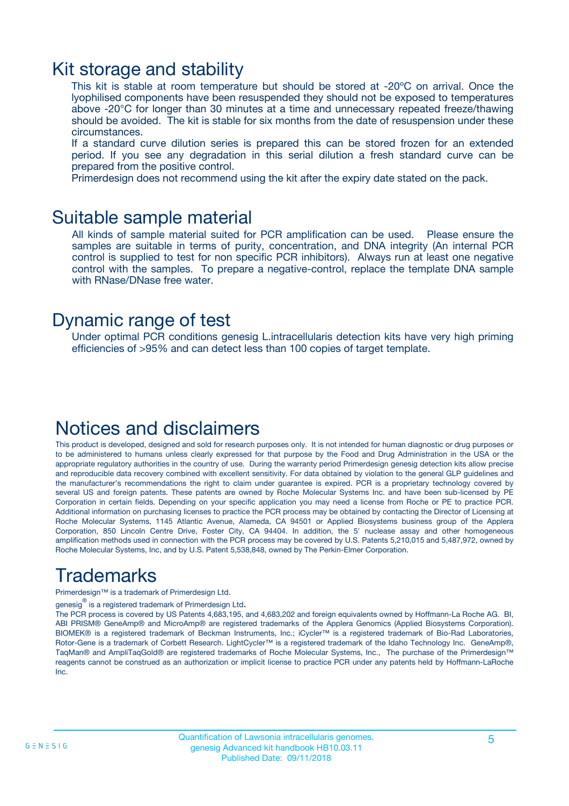### Kit storage and stability

This kit is stable at room temperature but should be stored at -20ºC on arrival. Once the lyophilised components have been resuspended they should not be exposed to temperatures above -20°C for longer than 30 minutes at a time and unnecessary repeated freeze/thawing should be avoided. The kit is stable for six months from the date of resuspension under these circumstances.

If a standard curve dilution series is prepared this can be stored frozen for an extended period. If you see any degradation in this serial dilution a fresh standard curve can be prepared from the positive control.

Primerdesign does not recommend using the kit after the expiry date stated on the pack.

### Suitable sample material

All kinds of sample material suited for PCR amplification can be used. Please ensure the samples are suitable in terms of purity, concentration, and DNA integrity (An internal PCR control is supplied to test for non specific PCR inhibitors). Always run at least one negative control with the samples. To prepare a negative-control, replace the template DNA sample with RNase/DNase free water.

### Dynamic range of test

Under optimal PCR conditions genesig L.intracellularis detection kits have very high priming efficiencies of >95% and can detect less than 100 copies of target template.

### Notices and disclaimers

This product is developed, designed and sold for research purposes only. It is not intended for human diagnostic or drug purposes or to be administered to humans unless clearly expressed for that purpose by the Food and Drug Administration in the USA or the appropriate regulatory authorities in the country of use. During the warranty period Primerdesign genesig detection kits allow precise and reproducible data recovery combined with excellent sensitivity. For data obtained by violation to the general GLP guidelines and the manufacturer's recommendations the right to claim under guarantee is expired. PCR is a proprietary technology covered by several US and foreign patents. These patents are owned by Roche Molecular Systems Inc. and have been sub-licensed by PE Corporation in certain fields. Depending on your specific application you may need a license from Roche or PE to practice PCR. Additional information on purchasing licenses to practice the PCR process may be obtained by contacting the Director of Licensing at Roche Molecular Systems, 1145 Atlantic Avenue, Alameda, CA 94501 or Applied Biosystems business group of the Applera Corporation, 850 Lincoln Centre Drive, Foster City, CA 94404. In addition, the 5' nuclease assay and other homogeneous amplification methods used in connection with the PCR process may be covered by U.S. Patents 5,210,015 and 5,487,972, owned by Roche Molecular Systems, Inc, and by U.S. Patent 5,538,848, owned by The Perkin-Elmer Corporation.

## Trademarks

Primerdesign™ is a trademark of Primerdesign Ltd.

genesig $^\circledR$  is a registered trademark of Primerdesign Ltd.

The PCR process is covered by US Patents 4,683,195, and 4,683,202 and foreign equivalents owned by Hoffmann-La Roche AG. BI, ABI PRISM® GeneAmp® and MicroAmp® are registered trademarks of the Applera Genomics (Applied Biosystems Corporation). BIOMEK® is a registered trademark of Beckman Instruments, Inc.; iCycler™ is a registered trademark of Bio-Rad Laboratories, Rotor-Gene is a trademark of Corbett Research. LightCycler™ is a registered trademark of the Idaho Technology Inc. GeneAmp®, TaqMan® and AmpliTaqGold® are registered trademarks of Roche Molecular Systems, Inc., The purchase of the Primerdesign™ reagents cannot be construed as an authorization or implicit license to practice PCR under any patents held by Hoffmann-LaRoche Inc.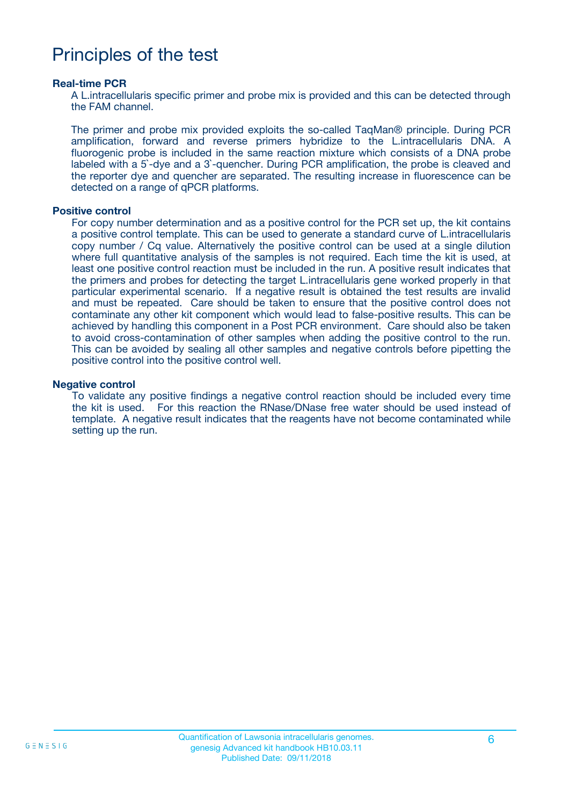## Principles of the test

#### **Real-time PCR**

A L.intracellularis specific primer and probe mix is provided and this can be detected through the FAM channel.

The primer and probe mix provided exploits the so-called TaqMan® principle. During PCR amplification, forward and reverse primers hybridize to the L.intracellularis DNA. A fluorogenic probe is included in the same reaction mixture which consists of a DNA probe labeled with a 5`-dye and a 3`-quencher. During PCR amplification, the probe is cleaved and the reporter dye and quencher are separated. The resulting increase in fluorescence can be detected on a range of qPCR platforms.

#### **Positive control**

For copy number determination and as a positive control for the PCR set up, the kit contains a positive control template. This can be used to generate a standard curve of L.intracellularis copy number / Cq value. Alternatively the positive control can be used at a single dilution where full quantitative analysis of the samples is not required. Each time the kit is used, at least one positive control reaction must be included in the run. A positive result indicates that the primers and probes for detecting the target L.intracellularis gene worked properly in that particular experimental scenario. If a negative result is obtained the test results are invalid and must be repeated. Care should be taken to ensure that the positive control does not contaminate any other kit component which would lead to false-positive results. This can be achieved by handling this component in a Post PCR environment. Care should also be taken to avoid cross-contamination of other samples when adding the positive control to the run. This can be avoided by sealing all other samples and negative controls before pipetting the positive control into the positive control well.

#### **Negative control**

To validate any positive findings a negative control reaction should be included every time the kit is used. For this reaction the RNase/DNase free water should be used instead of template. A negative result indicates that the reagents have not become contaminated while setting up the run.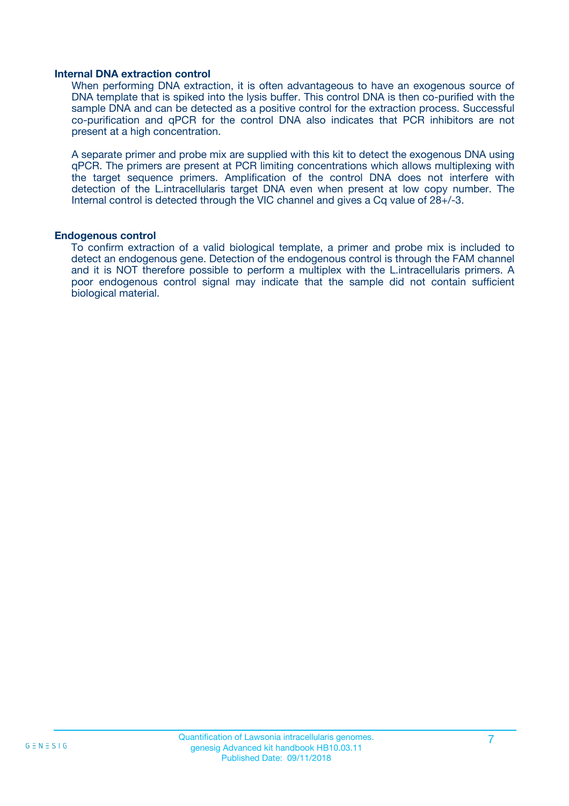#### **Internal DNA extraction control**

When performing DNA extraction, it is often advantageous to have an exogenous source of DNA template that is spiked into the lysis buffer. This control DNA is then co-purified with the sample DNA and can be detected as a positive control for the extraction process. Successful co-purification and qPCR for the control DNA also indicates that PCR inhibitors are not present at a high concentration.

A separate primer and probe mix are supplied with this kit to detect the exogenous DNA using qPCR. The primers are present at PCR limiting concentrations which allows multiplexing with the target sequence primers. Amplification of the control DNA does not interfere with detection of the L.intracellularis target DNA even when present at low copy number. The Internal control is detected through the VIC channel and gives a Cq value of 28+/-3.

#### **Endogenous control**

To confirm extraction of a valid biological template, a primer and probe mix is included to detect an endogenous gene. Detection of the endogenous control is through the FAM channel and it is NOT therefore possible to perform a multiplex with the L.intracellularis primers. A poor endogenous control signal may indicate that the sample did not contain sufficient biological material.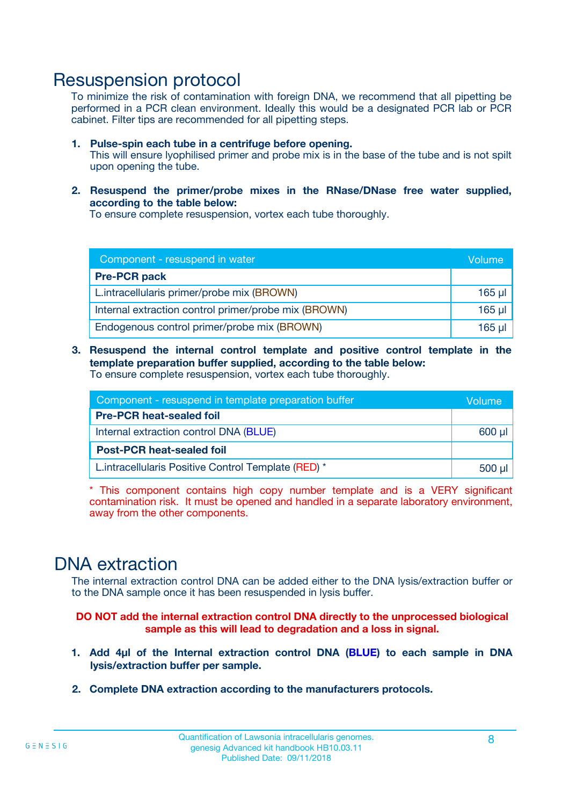### Resuspension protocol

To minimize the risk of contamination with foreign DNA, we recommend that all pipetting be performed in a PCR clean environment. Ideally this would be a designated PCR lab or PCR cabinet. Filter tips are recommended for all pipetting steps.

- **1. Pulse-spin each tube in a centrifuge before opening.** This will ensure lyophilised primer and probe mix is in the base of the tube and is not spilt upon opening the tube.
- **2. Resuspend the primer/probe mixes in the RNase/DNase free water supplied, according to the table below:**

To ensure complete resuspension, vortex each tube thoroughly.

| Component - resuspend in water                       |          |  |
|------------------------------------------------------|----------|--|
| <b>Pre-PCR pack</b>                                  |          |  |
| L.intracellularis primer/probe mix (BROWN)           | $165$ µl |  |
| Internal extraction control primer/probe mix (BROWN) | $165$ µl |  |
| Endogenous control primer/probe mix (BROWN)          | 165 µl   |  |

**3. Resuspend the internal control template and positive control template in the template preparation buffer supplied, according to the table below:** To ensure complete resuspension, vortex each tube thoroughly.

| Component - resuspend in template preparation buffer |  |  |  |
|------------------------------------------------------|--|--|--|
| <b>Pre-PCR heat-sealed foil</b>                      |  |  |  |
| Internal extraction control DNA (BLUE)               |  |  |  |
| <b>Post-PCR heat-sealed foil</b>                     |  |  |  |
| L.intracellularis Positive Control Template (RED) *  |  |  |  |

\* This component contains high copy number template and is a VERY significant contamination risk. It must be opened and handled in a separate laboratory environment, away from the other components.

### DNA extraction

The internal extraction control DNA can be added either to the DNA lysis/extraction buffer or to the DNA sample once it has been resuspended in lysis buffer.

**DO NOT add the internal extraction control DNA directly to the unprocessed biological sample as this will lead to degradation and a loss in signal.**

- **1. Add 4µl of the Internal extraction control DNA (BLUE) to each sample in DNA lysis/extraction buffer per sample.**
- **2. Complete DNA extraction according to the manufacturers protocols.**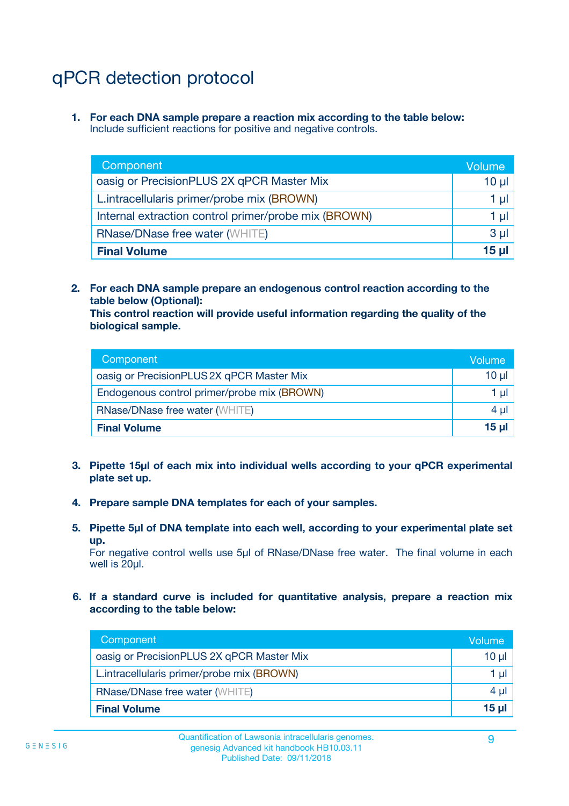## qPCR detection protocol

**1. For each DNA sample prepare a reaction mix according to the table below:** Include sufficient reactions for positive and negative controls.

| Component                                            | Volume   |
|------------------------------------------------------|----------|
| oasig or PrecisionPLUS 2X qPCR Master Mix            | $10 \mu$ |
| L.intracellularis primer/probe mix (BROWN)           | 1 µI     |
| Internal extraction control primer/probe mix (BROWN) | 1 µl     |
| <b>RNase/DNase free water (WHITE)</b>                | $3 \mu$  |
| <b>Final Volume</b>                                  | 15 µl    |

**2. For each DNA sample prepare an endogenous control reaction according to the table below (Optional):**

**This control reaction will provide useful information regarding the quality of the biological sample.**

| Component                                   | Volume          |
|---------------------------------------------|-----------------|
| oasig or PrecisionPLUS 2X qPCR Master Mix   | $10 \mu$        |
| Endogenous control primer/probe mix (BROWN) | 1 µI            |
| <b>RNase/DNase free water (WHITE)</b>       | 4 µl            |
| <b>Final Volume</b>                         | 15 <sub>µ</sub> |

- **3. Pipette 15µl of each mix into individual wells according to your qPCR experimental plate set up.**
- **4. Prepare sample DNA templates for each of your samples.**
- **5. Pipette 5µl of DNA template into each well, according to your experimental plate set up.**

For negative control wells use 5µl of RNase/DNase free water. The final volume in each well is 20ul.

**6. If a standard curve is included for quantitative analysis, prepare a reaction mix according to the table below:**

| Component                                  | Volume          |
|--------------------------------------------|-----------------|
| oasig or PrecisionPLUS 2X qPCR Master Mix  | $10 \mu$        |
| L.intracellularis primer/probe mix (BROWN) |                 |
| <b>RNase/DNase free water (WHITE)</b>      | 4 µl            |
| <b>Final Volume</b>                        | 15 <sub>µ</sub> |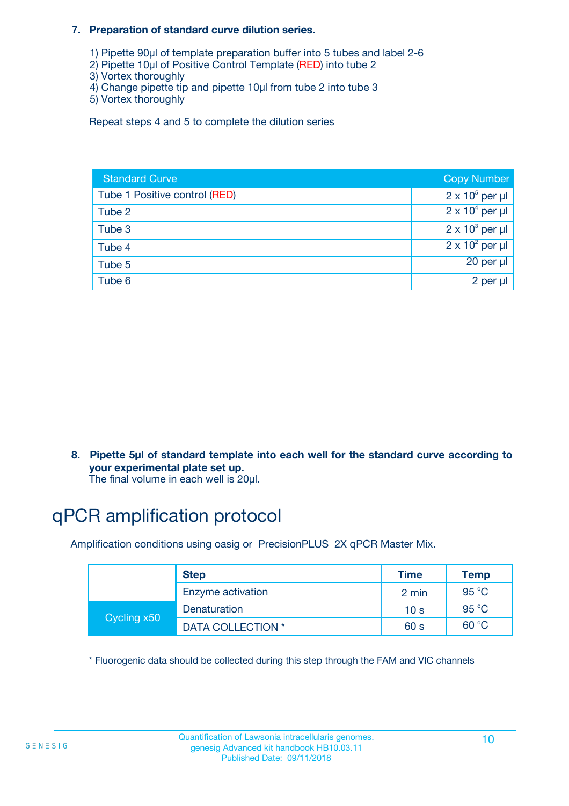#### **7. Preparation of standard curve dilution series.**

- 1) Pipette 90µl of template preparation buffer into 5 tubes and label 2-6
- 2) Pipette 10µl of Positive Control Template (RED) into tube 2
- 3) Vortex thoroughly
- 4) Change pipette tip and pipette 10µl from tube 2 into tube 3
- 5) Vortex thoroughly

Repeat steps 4 and 5 to complete the dilution series

| <b>Standard Curve</b>         | <b>Copy Number</b>     |
|-------------------------------|------------------------|
| Tube 1 Positive control (RED) | $2 \times 10^5$ per µl |
| Tube 2                        | $2 \times 10^4$ per µl |
| Tube 3                        | $2 \times 10^3$ per µl |
| Tube 4                        | $2 \times 10^2$ per µl |
| Tube 5                        | 20 per µl              |
| Tube 6                        | 2 per µl               |

**8. Pipette 5µl of standard template into each well for the standard curve according to your experimental plate set up.**

#### The final volume in each well is 20µl.

## qPCR amplification protocol

Amplification conditions using oasig or PrecisionPLUS 2X qPCR Master Mix.

|             | <b>Step</b>       | <b>Time</b>     | Temp    |
|-------------|-------------------|-----------------|---------|
|             | Enzyme activation | 2 min           | 95 °C   |
| Cycling x50 | Denaturation      | 10 <sub>s</sub> | 95 $°C$ |
|             | DATA COLLECTION * | 60 s            | 60 °C   |

\* Fluorogenic data should be collected during this step through the FAM and VIC channels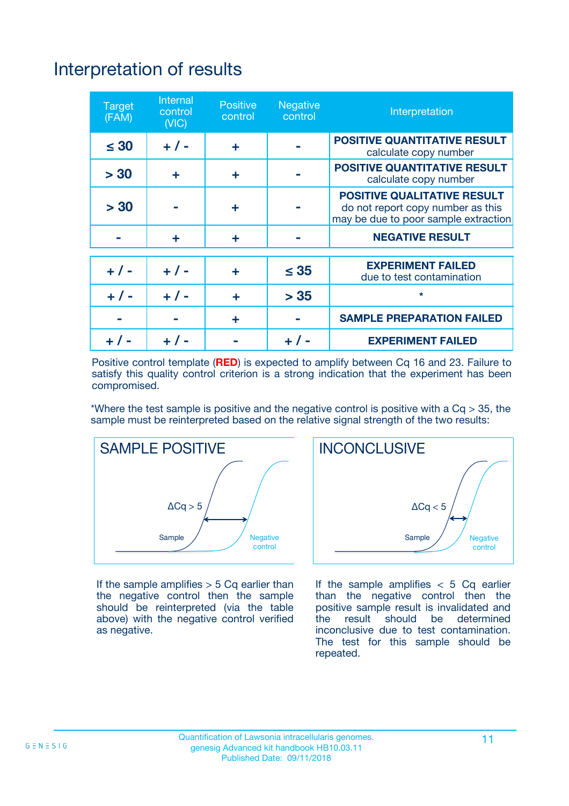# Interpretation of results

| <b>Target</b><br>(FAM) | <b>Internal</b><br>control<br>(NIC) | <b>Positive</b><br>control | <b>Negative</b><br>control | Interpretation                                                                                                  |
|------------------------|-------------------------------------|----------------------------|----------------------------|-----------------------------------------------------------------------------------------------------------------|
| $\leq 30$              | $+ 1 -$                             | ÷                          |                            | <b>POSITIVE QUANTITATIVE RESULT</b><br>calculate copy number                                                    |
| > 30                   | ٠                                   | ÷                          |                            | <b>POSITIVE QUANTITATIVE RESULT</b><br>calculate copy number                                                    |
| > 30                   |                                     | ÷                          |                            | <b>POSITIVE QUALITATIVE RESULT</b><br>do not report copy number as this<br>may be due to poor sample extraction |
|                        | ÷                                   | ÷                          |                            | <b>NEGATIVE RESULT</b>                                                                                          |
| $+ 1 -$                | $+ 1 -$                             | ÷                          | $\leq$ 35                  | <b>EXPERIMENT FAILED</b><br>due to test contamination                                                           |
| $+$ / -                | $+ 1 -$                             | ÷                          | > 35                       | $\star$                                                                                                         |
|                        |                                     | ÷                          |                            | <b>SAMPLE PREPARATION FAILED</b>                                                                                |
|                        |                                     |                            | $+$ /                      | <b>EXPERIMENT FAILED</b>                                                                                        |

Positive control template (**RED**) is expected to amplify between Cq 16 and 23. Failure to satisfy this quality control criterion is a strong indication that the experiment has been compromised.

\*Where the test sample is positive and the negative control is positive with a  $Ca > 35$ , the sample must be reinterpreted based on the relative signal strength of the two results:



If the sample amplifies  $> 5$  Cq earlier than the negative control then the sample should be reinterpreted (via the table above) with the negative control verified as negative.



If the sample amplifies  $< 5$  Cq earlier than the negative control then the positive sample result is invalidated and<br>the result should be determined  $the$  result should be inconclusive due to test contamination. The test for this sample should be repeated.